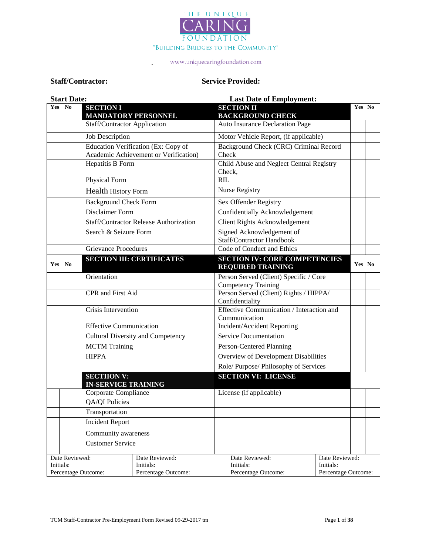

.

### **Staff/Contractor: Service Provided:**

| <b>Start Date:</b> |                                                                                   | <b>Last Date of Employment:</b>                  |                                                                              |                                                                  |                                                                      |                                                    |        |  |
|--------------------|-----------------------------------------------------------------------------------|--------------------------------------------------|------------------------------------------------------------------------------|------------------------------------------------------------------|----------------------------------------------------------------------|----------------------------------------------------|--------|--|
| Yes No             |                                                                                   | <b>SECTION I</b><br><b>MANDATORY PERSONNEL</b>   |                                                                              |                                                                  | <b>SECTION II</b><br><b>BACKGROUND CHECK</b>                         |                                                    | Yes No |  |
|                    |                                                                                   | Staff/Contractor Application                     |                                                                              |                                                                  | Auto Insurance Declaration Page                                      |                                                    |        |  |
|                    |                                                                                   | Job Description                                  |                                                                              |                                                                  | Motor Vehicle Report, (if applicable)                                |                                                    |        |  |
|                    |                                                                                   |                                                  | Education Verification (Ex: Copy of<br>Academic Achievement or Verification) |                                                                  | Background Check (CRC) Criminal Record<br>Check                      |                                                    |        |  |
|                    |                                                                                   | Hepatitis B Form                                 |                                                                              |                                                                  | Child Abuse and Neglect Central Registry<br>Check,                   |                                                    |        |  |
|                    |                                                                                   | Physical Form                                    |                                                                              | <b>RIL</b>                                                       |                                                                      |                                                    |        |  |
|                    |                                                                                   | <b>Health History Form</b>                       |                                                                              |                                                                  | Nurse Registry                                                       |                                                    |        |  |
|                    |                                                                                   | <b>Background Check Form</b>                     |                                                                              |                                                                  | Sex Offender Registry                                                |                                                    |        |  |
|                    |                                                                                   | Disclaimer Form                                  |                                                                              |                                                                  | Confidentially Acknowledgement                                       |                                                    |        |  |
|                    |                                                                                   |                                                  | Staff/Contractor Release Authorization                                       |                                                                  | Client Rights Acknowledgement                                        |                                                    |        |  |
|                    |                                                                                   | Search & Seizure Form                            |                                                                              |                                                                  | Signed Acknowledgement of<br>Staff/Contractor Handbook               |                                                    |        |  |
|                    |                                                                                   | <b>Grievance Procedures</b>                      |                                                                              |                                                                  | Code of Conduct and Ethics                                           |                                                    |        |  |
| Yes No             |                                                                                   | <b>SECTION III: CERTIFICATES</b>                 |                                                                              | <b>SECTION IV: CORE COMPETENCIES</b><br><b>REQUIRED TRAINING</b> |                                                                      | Yes No                                             |        |  |
|                    |                                                                                   | Orientation                                      |                                                                              |                                                                  | Person Served (Client) Specific / Core<br><b>Competency Training</b> |                                                    |        |  |
|                    |                                                                                   | CPR and First Aid                                |                                                                              | Person Served (Client) Rights / HIPPA/<br>Confidentiality        |                                                                      |                                                    |        |  |
|                    |                                                                                   | Crisis Intervention                              |                                                                              | Effective Communication / Interaction and<br>Communication       |                                                                      |                                                    |        |  |
|                    |                                                                                   | <b>Effective Communication</b>                   |                                                                              |                                                                  | Incident/Accident Reporting                                          |                                                    |        |  |
|                    |                                                                                   | <b>Cultural Diversity and Competency</b>         |                                                                              | Service Documentation                                            |                                                                      |                                                    |        |  |
|                    |                                                                                   | <b>MCTM</b> Training                             |                                                                              | Person-Centered Planning                                         |                                                                      |                                                    |        |  |
|                    |                                                                                   | <b>HIPPA</b>                                     | Overview of Development Disabilities                                         |                                                                  |                                                                      |                                                    |        |  |
|                    |                                                                                   |                                                  |                                                                              |                                                                  | Role/Purpose/Philosophy of Services                                  |                                                    |        |  |
|                    |                                                                                   | <b>SECTIION V:</b><br><b>IN-SERVICE TRAINING</b> |                                                                              |                                                                  | <b>SECTION VI: LICENSE</b>                                           |                                                    |        |  |
|                    |                                                                                   | Corporate Compliance                             |                                                                              |                                                                  | License (if applicable)                                              |                                                    |        |  |
|                    |                                                                                   | QA/QI Policies                                   |                                                                              |                                                                  |                                                                      |                                                    |        |  |
|                    |                                                                                   | Transportation                                   |                                                                              |                                                                  |                                                                      |                                                    |        |  |
|                    |                                                                                   | <b>Incident Report</b>                           |                                                                              |                                                                  |                                                                      |                                                    |        |  |
|                    |                                                                                   | Community awareness                              |                                                                              |                                                                  |                                                                      |                                                    |        |  |
|                    |                                                                                   | <b>Customer Service</b>                          |                                                                              |                                                                  |                                                                      |                                                    |        |  |
|                    | Date Reviewed:<br>Date Reviewed:<br>Initials:<br>Initials:<br>Percentage Outcome: |                                                  | Percentage Outcome:                                                          |                                                                  | Date Reviewed:<br>Initials:<br>Percentage Outcome:                   | Date Reviewed:<br>Initials:<br>Percentage Outcome: |        |  |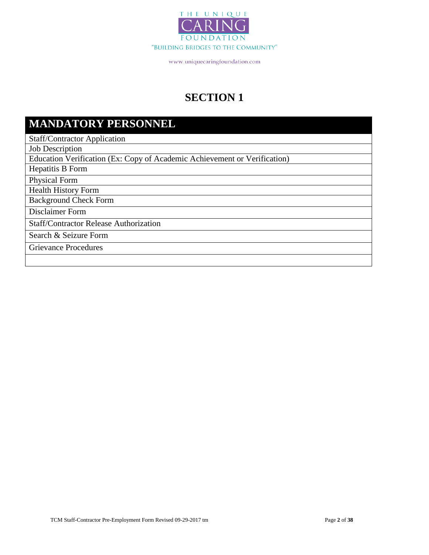

# **SECTION 1**

# **MANDATORY PERSONNEL**

Staff/Contractor Application

Job Description

Education Verification (Ex: Copy of Academic Achievement or Verification)

Hepatitis B Form

Physical Form

Health History Form

Background Check Form

Disclaimer Form

Staff/Contractor Release Authorization

Search & Seizure Form

Grievance Procedures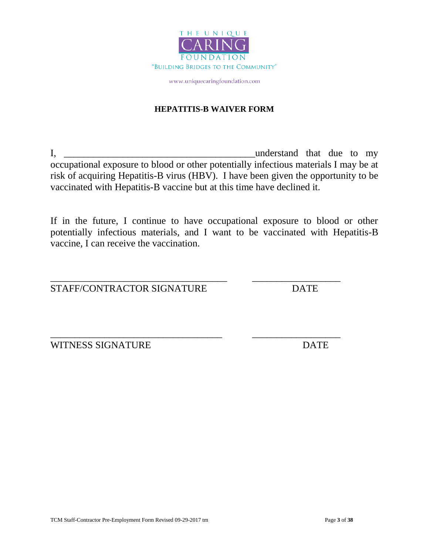

### **HEPATITIS-B WAIVER FORM**

I, \_\_\_\_\_\_\_\_\_\_\_\_\_\_\_\_\_\_\_\_\_\_\_\_\_\_\_\_\_\_\_\_\_\_\_\_\_\_\_understand that due to my occupational exposure to blood or other potentially infectious materials I may be at risk of acquiring Hepatitis-B virus (HBV). I have been given the opportunity to be vaccinated with Hepatitis-B vaccine but at this time have declined it.

If in the future, I continue to have occupational exposure to blood or other potentially infectious materials, and I want to be vaccinated with Hepatitis-B vaccine, I can receive the vaccination.

\_\_\_\_\_\_\_\_\_\_\_\_\_\_\_\_\_\_\_\_\_\_\_\_\_\_\_\_\_\_\_\_\_\_\_\_ \_\_\_\_\_\_\_\_\_\_\_\_\_\_\_\_\_\_

\_\_\_\_\_\_\_\_\_\_\_\_\_\_\_\_\_\_\_\_\_\_\_\_\_\_\_\_\_\_\_\_\_\_\_ \_\_\_\_\_\_\_\_\_\_\_\_\_\_\_\_\_\_

STAFF/CONTRACTOR SIGNATURE DATE

WITNESS SIGNATURE DATE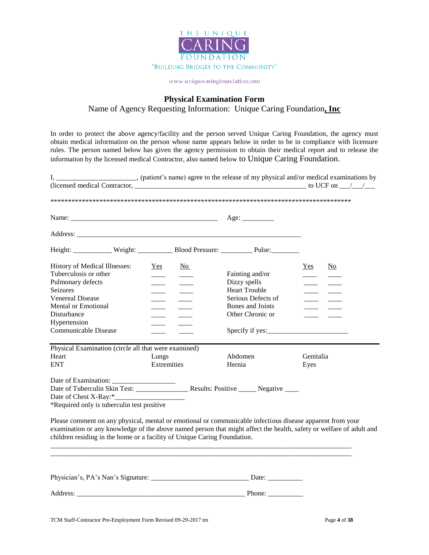

### **Physical Examination Form**

Name of Agency Requesting Information: Unique Caring Foundation**, Inc**

In order to protect the above agency/facility and the person served Unique Caring Foundation, the agency must obtain medical information on the person whose name appears below in order to be in compliance with licensure rules. The person named below has given the agency permission to obtain their medical report and to release the information by the licensed medical Contractor, also named below to Unique Caring Foundation.

| I, _______________________, (patient's name) agree to the release of my physical and/or medical examinations by                                                                                                                                                                                              |                    |                                                                                                                                                                                                                                                                                                                                                                                                                                                                            |                                            |           |                        |
|--------------------------------------------------------------------------------------------------------------------------------------------------------------------------------------------------------------------------------------------------------------------------------------------------------------|--------------------|----------------------------------------------------------------------------------------------------------------------------------------------------------------------------------------------------------------------------------------------------------------------------------------------------------------------------------------------------------------------------------------------------------------------------------------------------------------------------|--------------------------------------------|-----------|------------------------|
|                                                                                                                                                                                                                                                                                                              |                    |                                                                                                                                                                                                                                                                                                                                                                                                                                                                            |                                            |           |                        |
|                                                                                                                                                                                                                                                                                                              |                    |                                                                                                                                                                                                                                                                                                                                                                                                                                                                            |                                            |           |                        |
|                                                                                                                                                                                                                                                                                                              |                    |                                                                                                                                                                                                                                                                                                                                                                                                                                                                            |                                            |           |                        |
|                                                                                                                                                                                                                                                                                                              |                    |                                                                                                                                                                                                                                                                                                                                                                                                                                                                            |                                            |           |                        |
| Height: Weight: Weight: Blood Pressure: Pulse:                                                                                                                                                                                                                                                               |                    |                                                                                                                                                                                                                                                                                                                                                                                                                                                                            |                                            |           |                        |
| History of Medical Illnesses:                                                                                                                                                                                                                                                                                | Yes                | N <sub>0</sub>                                                                                                                                                                                                                                                                                                                                                                                                                                                             |                                            | Yes       | $\overline{\text{No}}$ |
| Tuberculosis or other                                                                                                                                                                                                                                                                                        |                    |                                                                                                                                                                                                                                                                                                                                                                                                                                                                            | Fainting and/or                            |           |                        |
| Pulmonary defects                                                                                                                                                                                                                                                                                            |                    |                                                                                                                                                                                                                                                                                                                                                                                                                                                                            | Dizzy spells                               |           |                        |
| <b>Seizures</b><br><b>Venereal Disease</b>                                                                                                                                                                                                                                                                   |                    |                                                                                                                                                                                                                                                                                                                                                                                                                                                                            | <b>Heart Trouble</b><br>Serious Defects of |           |                        |
| <b>Mental or Emotional</b>                                                                                                                                                                                                                                                                                   |                    |                                                                                                                                                                                                                                                                                                                                                                                                                                                                            | Bones and Joints                           |           |                        |
| Disturbance                                                                                                                                                                                                                                                                                                  |                    | $\frac{1}{2} \left( \frac{1}{2} \right) \left( \frac{1}{2} \right) \left( \frac{1}{2} \right) \left( \frac{1}{2} \right) \left( \frac{1}{2} \right) \left( \frac{1}{2} \right) \left( \frac{1}{2} \right) \left( \frac{1}{2} \right) \left( \frac{1}{2} \right) \left( \frac{1}{2} \right) \left( \frac{1}{2} \right) \left( \frac{1}{2} \right) \left( \frac{1}{2} \right) \left( \frac{1}{2} \right) \left( \frac{1}{2} \right) \left( \frac{1}{2} \right) \left( \frac$ | Other Chronic or                           |           |                        |
| Hypertension                                                                                                                                                                                                                                                                                                 |                    |                                                                                                                                                                                                                                                                                                                                                                                                                                                                            |                                            |           |                        |
| Communicable Disease                                                                                                                                                                                                                                                                                         |                    |                                                                                                                                                                                                                                                                                                                                                                                                                                                                            | Specify if yes:                            |           |                        |
|                                                                                                                                                                                                                                                                                                              |                    |                                                                                                                                                                                                                                                                                                                                                                                                                                                                            |                                            |           |                        |
| Physical Examination (circle all that were examined)                                                                                                                                                                                                                                                         |                    |                                                                                                                                                                                                                                                                                                                                                                                                                                                                            |                                            |           |                        |
| Heart                                                                                                                                                                                                                                                                                                        | Lungs              |                                                                                                                                                                                                                                                                                                                                                                                                                                                                            | Abdomen                                    | Genitalia |                        |
| <b>ENT</b>                                                                                                                                                                                                                                                                                                   | <b>Extremities</b> |                                                                                                                                                                                                                                                                                                                                                                                                                                                                            | Hernia                                     | Eyes      |                        |
|                                                                                                                                                                                                                                                                                                              |                    |                                                                                                                                                                                                                                                                                                                                                                                                                                                                            |                                            |           |                        |
|                                                                                                                                                                                                                                                                                                              |                    |                                                                                                                                                                                                                                                                                                                                                                                                                                                                            |                                            |           |                        |
|                                                                                                                                                                                                                                                                                                              |                    |                                                                                                                                                                                                                                                                                                                                                                                                                                                                            |                                            |           |                        |
| *Required only is tuberculin test positive                                                                                                                                                                                                                                                                   |                    |                                                                                                                                                                                                                                                                                                                                                                                                                                                                            |                                            |           |                        |
| Please comment on any physical, mental or emotional or communicable infectious disease apparent from your<br>examination or any knowledge of the above named person that might affect the health, safety or welfare of adult and<br>children residing in the home or a facility of Unique Caring Foundation. |                    |                                                                                                                                                                                                                                                                                                                                                                                                                                                                            |                                            |           |                        |
|                                                                                                                                                                                                                                                                                                              |                    |                                                                                                                                                                                                                                                                                                                                                                                                                                                                            |                                            |           |                        |
|                                                                                                                                                                                                                                                                                                              |                    |                                                                                                                                                                                                                                                                                                                                                                                                                                                                            |                                            |           |                        |
| Address: Phone:                                                                                                                                                                                                                                                                                              |                    |                                                                                                                                                                                                                                                                                                                                                                                                                                                                            |                                            |           |                        |
|                                                                                                                                                                                                                                                                                                              |                    |                                                                                                                                                                                                                                                                                                                                                                                                                                                                            |                                            |           |                        |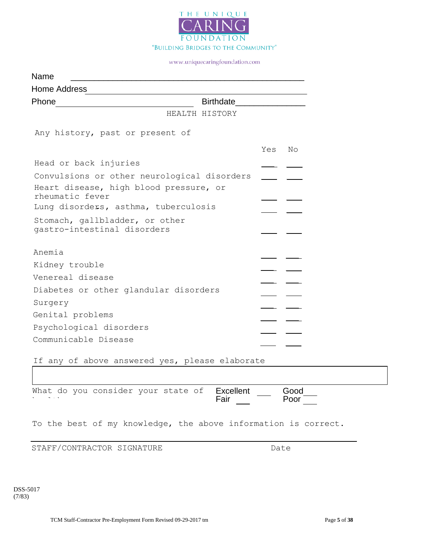

| Name                                                          |                             |
|---------------------------------------------------------------|-----------------------------|
| Home Address                                                  |                             |
| Phone                                                         | <b>Birthdate Example 19</b> |
| HEALTH HISTORY                                                |                             |
| Any history, past or present of                               |                             |
|                                                               | Yes<br>No                   |
| Head or back injuries                                         |                             |
| Convulsions or other neurological disorders                   |                             |
| Heart disease, high blood pressure, or<br>rheumatic fever     |                             |
| Lung disorders, asthma, tuberculosis                          |                             |
| Stomach, gallbladder, or other<br>gastro-intestinal disorders |                             |
| Anemia                                                        |                             |
|                                                               |                             |
| Kidney trouble<br>Venereal disease                            |                             |
|                                                               |                             |
| Diabetes or other glandular disorders                         |                             |
| Surgery                                                       |                             |
| Genital problems                                              |                             |
| Psychological disorders                                       |                             |
| Communicable Disease                                          |                             |
|                                                               |                             |

If any of above answered yes, please elaborate

Excellent Good<br>Fair Goor **Fair** What do you consider your state of health:

To the best of my knowledge, the above information is correct.

STAFF/CONTRACTOR SIGNATURE DATE Date

DSS-5017 (7/83)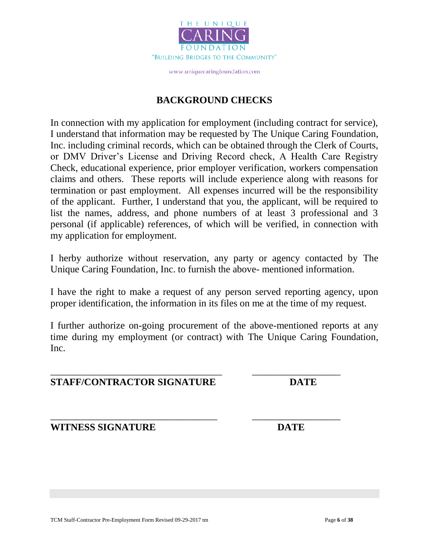

### **BACKGROUND CHECKS**

In connection with my application for employment (including contract for service), I understand that information may be requested by The Unique Caring Foundation, Inc. including criminal records, which can be obtained through the Clerk of Courts, or DMV Driver's License and Driving Record check, A Health Care Registry Check, educational experience, prior employer verification, workers compensation claims and others. These reports will include experience along with reasons for termination or past employment. All expenses incurred will be the responsibility of the applicant. Further, I understand that you, the applicant, will be required to list the names, address, and phone numbers of at least 3 professional and 3 personal (if applicable) references, of which will be verified, in connection with my application for employment.

I herby authorize without reservation, any party or agency contacted by The Unique Caring Foundation, Inc. to furnish the above- mentioned information.

I have the right to make a request of any person served reporting agency, upon proper identification, the information in its files on me at the time of my request.

I further authorize on-going procurement of the above-mentioned reports at any time during my employment (or contract) with The Unique Caring Foundation, Inc.

\_\_\_\_\_\_\_\_\_\_\_\_\_\_\_\_\_\_\_\_\_\_\_\_\_\_\_\_\_\_\_\_\_\_\_ \_\_\_\_\_\_\_\_\_\_\_\_\_\_\_\_\_\_

### **STAFF/CONTRACTOR SIGNATURE DATE**

\_\_\_\_\_\_\_\_\_\_\_\_\_\_\_\_\_\_\_\_\_\_\_\_\_\_\_\_\_\_\_\_\_\_ \_\_\_\_\_\_\_\_\_\_\_\_\_\_\_\_\_\_ **WITNESS SIGNATURE DATE**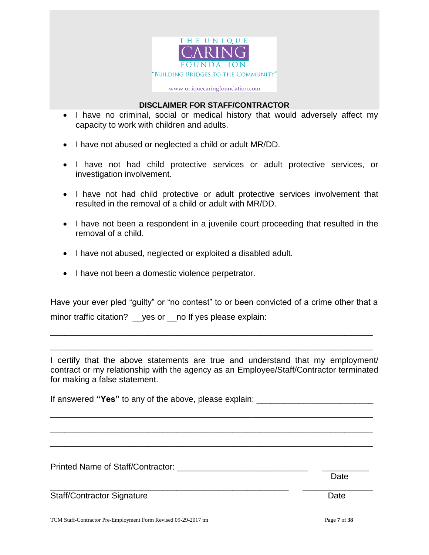

### **DISCLAIMER FOR STAFF/CONTRACTOR**

- I have no criminal, social or medical history that would adversely affect my capacity to work with children and adults.
- I have not abused or neglected a child or adult MR/DD.
- I have not had child protective services or adult protective services, or investigation involvement.
- I have not had child protective or adult protective services involvement that resulted in the removal of a child or adult with MR/DD.
- I have not been a respondent in a juvenile court proceeding that resulted in the removal of a child.
- I have not abused, neglected or exploited a disabled adult.
- I have not been a domestic violence perpetrator.

Have your ever pled "guilty" or "no contest" to or been convicted of a crime other that a minor traffic citation? \_\_ yes or \_\_ no If yes please explain:

\_\_\_\_\_\_\_\_\_\_\_\_\_\_\_\_\_\_\_\_\_\_\_\_\_\_\_\_\_\_\_\_\_\_\_\_\_\_\_\_\_\_\_\_\_\_\_\_\_\_\_\_\_\_\_\_\_\_\_\_\_\_\_\_\_\_\_\_\_

\_\_\_\_\_\_\_\_\_\_\_\_\_\_\_\_\_\_\_\_\_\_\_\_\_\_\_\_\_\_\_\_\_\_\_\_\_\_\_\_\_\_\_\_\_\_\_\_\_\_\_\_\_\_\_\_\_\_\_\_\_\_\_\_\_\_\_\_\_

I certify that the above statements are true and understand that my employment/ contract or my relationship with the agency as an Employee/Staff/Contractor terminated for making a false statement.

If answered "Yes" to any of the above, please explain: \_\_\_\_\_\_\_\_\_\_\_\_\_\_\_\_\_\_\_\_\_\_\_\_\_\_

\_\_\_\_\_\_\_\_\_\_\_\_\_\_\_\_\_\_\_\_\_\_\_\_\_\_\_\_\_\_\_\_\_\_\_\_\_\_\_\_\_\_\_\_\_\_\_\_\_\_\_\_\_\_\_\_\_\_\_\_\_\_\_\_\_\_\_\_\_

\_\_\_\_\_\_\_\_\_\_\_\_\_\_\_\_\_\_\_\_\_\_\_\_\_\_\_\_\_\_\_\_\_\_\_\_\_\_\_\_\_\_\_\_\_\_\_\_\_\_\_\_\_\_\_\_\_\_\_\_\_\_\_\_\_\_\_\_\_

\_\_\_\_\_\_\_\_\_\_\_\_\_\_\_\_\_\_\_\_\_\_\_\_\_\_\_\_\_\_\_\_\_\_\_\_\_\_\_\_\_\_\_\_\_\_\_\_\_\_\_\_\_\_\_\_\_\_\_\_\_\_\_\_\_\_\_\_\_

Printed Name of Staff/Contractor:

Staff/Contractor Signature **Date** Date Date

 Date \_\_\_\_\_\_\_\_\_\_\_\_\_\_\_\_\_\_\_\_\_\_\_\_\_\_\_\_\_\_\_\_\_\_\_\_\_\_\_\_\_\_\_\_\_\_\_\_\_\_\_ \_\_\_\_\_\_\_\_\_\_\_\_\_\_\_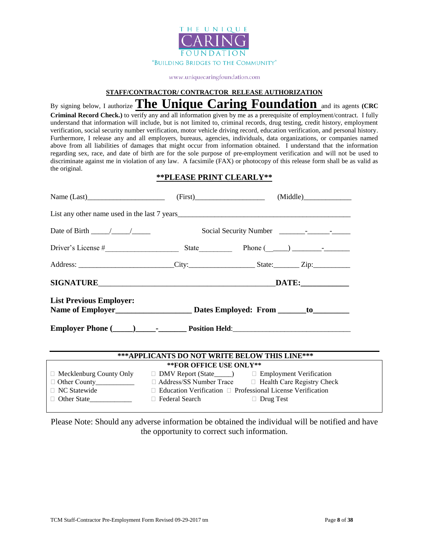

#### **STAFF/CONTRACTOR/ CONTRACTOR RELEASE AUTHORIZATION**

By signing below, I authorize **The Unique Caring Foundation** and its agents **(CRC Criminal Record Check.)** to verify any and all information given by me as a prerequisite of employment/contract. I fully understand that information will include, but is not limited to, criminal records, drug testing, credit history, employment verification, social security number verification, motor vehicle driving record, education verification, and personal history. Furthermore, I release any and all employers, bureaus, agencies, individuals, data organizations, or companies named above from all liabilities of damages that might occur from information obtained. I understand that the information regarding sex, race, and date of birth are for the sole purpose of pre-employment verification and will not be used to discriminate against me in violation of any law. A facsimile (FAX) or photocopy of this release form shall be as valid as the original.

### **\*\*PLEASE PRINT CLEARLY\*\***

| Name $(Last)$ (First) (First) (First) (Middle)                                              |                                                                        |  |  |  |  |  |
|---------------------------------------------------------------------------------------------|------------------------------------------------------------------------|--|--|--|--|--|
|                                                                                             |                                                                        |  |  |  |  |  |
| Date of Birth $\frac{\sqrt{2}}{2}$                                                          |                                                                        |  |  |  |  |  |
|                                                                                             |                                                                        |  |  |  |  |  |
|                                                                                             |                                                                        |  |  |  |  |  |
|                                                                                             |                                                                        |  |  |  |  |  |
| <b>List Previous Employer:</b>                                                              |                                                                        |  |  |  |  |  |
|                                                                                             |                                                                        |  |  |  |  |  |
|                                                                                             | ***APPLICANTS DO NOT WRITE BELOW THIS LINE***                          |  |  |  |  |  |
|                                                                                             | ** FOR OFFICE USE ONLY**                                               |  |  |  |  |  |
| $\Box$ Mecklenburg County Only $\Box$ DMV Report (State____) $\Box$ Employment Verification |                                                                        |  |  |  |  |  |
|                                                                                             |                                                                        |  |  |  |  |  |
| $\Box$ NC Statewide                                                                         | $\Box$ Education Verification $\Box$ Professional License Verification |  |  |  |  |  |
|                                                                                             | □ Federal Search □ Drug Test                                           |  |  |  |  |  |

Please Note: Should any adverse information be obtained the individual will be notified and have the opportunity to correct such information.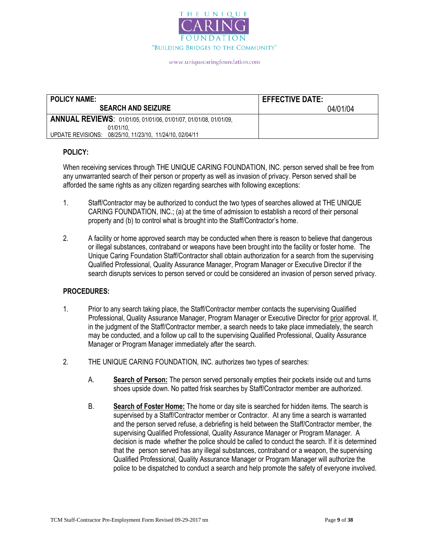

| <b>POLICY NAME:</b>                                               | <b>EFFECTIVE DATE:</b> |
|-------------------------------------------------------------------|------------------------|
| <b>SEARCH AND SEIZURE</b>                                         | 04/01/04               |
| ANNUAL REVIEWS: 01/01/05, 01/01/06, 01/01/07, 01/01/08, 01/01/09, |                        |
| 01/01/10.                                                         |                        |
| UPDATE REVISIONS: 08/25/10, 11/23/10, 11/24/10, 02/04/11          |                        |

### **POLICY:**

When receiving services through THE UNIQUE CARING FOUNDATION, INC. person served shall be free from any unwarranted search of their person or property as well as invasion of privacy. Person served shall be afforded the same rights as any citizen regarding searches with following exceptions:

- 1. Staff/Contractor may be authorized to conduct the two types of searches allowed at THE UNIQUE CARING FOUNDATION, INC.; (a) at the time of admission to establish a record of their personal property and (b) to control what is brought into the Staff/Contractor's home.
- 2. A facility or home approved search may be conducted when there is reason to believe that dangerous or illegal substances, contraband or weapons have been brought into the facility or foster home. The Unique Caring Foundation Staff/Contractor shall obtain authorization for a search from the supervising Qualified Professional, Quality Assurance Manager, Program Manager or Executive Director if the search disrupts services to person served or could be considered an invasion of person served privacy.

#### **PROCEDURES:**

- 1. Prior to any search taking place, the Staff/Contractor member contacts the supervising Qualified Professional, Quality Assurance Manager, Program Manager or Executive Director for prior approval. If, in the judgment of the Staff/Contractor member, a search needs to take place immediately, the search may be conducted, and a follow up call to the supervising Qualified Professional, Quality Assurance Manager or Program Manager immediately after the search.
- 2. THE UNIQUE CARING FOUNDATION, INC. authorizes two types of searches:
	- A. **Search of Person:** The person served personally empties their pockets inside out and turns shoes upside down. No patted frisk searches by Staff/Contractor member are authorized.
	- B. **Search of Foster Home:** The home or day site is searched for hidden items. The search is supervised by a Staff/Contractor member or Contractor. At any time a search is warranted and the person served refuse, a debriefing is held between the Staff/Contractor member, the supervising Qualified Professional, Quality Assurance Manager or Program Manager. A decision is made whether the police should be called to conduct the search. If it is determined that the person served has any illegal substances, contraband or a weapon, the supervising Qualified Professional, Quality Assurance Manager or Program Manager will authorize the police to be dispatched to conduct a search and help promote the safety of everyone involved.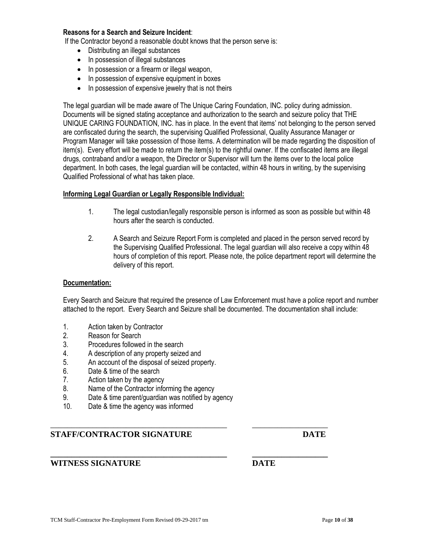### **Reasons for a Search and Seizure Incident**:

If the Contractor beyond a reasonable doubt knows that the person serve is:

- Distributing an illegal substances
- In possession of illegal substances
- In possession or a firearm or illegal weapon,
- In possession of expensive equipment in boxes
- In possession of expensive jewelry that is not theirs

The legal guardian will be made aware of The Unique Caring Foundation, INC. policy during admission. Documents will be signed stating acceptance and authorization to the search and seizure policy that THE UNIQUE CARING FOUNDATION, INC. has in place. In the event that items' not belonging to the person served are confiscated during the search, the supervising Qualified Professional, Quality Assurance Manager or Program Manager will take possession of those items. A determination will be made regarding the disposition of item(s). Every effort will be made to return the item(s) to the rightful owner. If the confiscated items are illegal drugs, contraband and/or a weapon, the Director or Supervisor will turn the items over to the local police department. In both cases, the legal guardian will be contacted, within 48 hours in writing, by the supervising Qualified Professional of what has taken place.

#### **Informing Legal Guardian or Legally Responsible Individual:**

- 1. The legal custodian/legally responsible person is informed as soon as possible but within 48 hours after the search is conducted.
- 2. A Search and Seizure Report Form is completed and placed in the person served record by the Supervising Qualified Professional. The legal guardian will also receive a copy within 48 hours of completion of this report. Please note, the police department report will determine the delivery of this report.

#### **Documentation:**

Every Search and Seizure that required the presence of Law Enforcement must have a police report and number attached to the report. Every Search and Seizure shall be documented. The documentation shall include:

- 1. Action taken by Contractor
- 2. Reason for Search
- 3. Procedures followed in the search
- 4. A description of any property seized and
- 5. An account of the disposal of seized property.
- 6. Date & time of the search
- 7. Action taken by the agency
- 8. Name of the Contractor informing the agency
- 9. Date & time parent/guardian was notified by agency

\_\_\_\_\_\_\_\_\_\_\_\_\_\_\_\_\_\_\_\_\_\_\_\_\_\_\_\_\_\_\_\_\_\_\_\_\_\_\_\_\_\_ \_\_\_\_\_\_\_\_\_\_\_\_\_\_\_\_\_\_

**\_\_\_\_\_\_\_\_\_\_\_\_\_\_\_\_\_\_\_\_\_\_\_\_\_\_\_\_\_\_\_\_\_\_\_\_\_\_\_\_\_\_ \_\_\_\_\_\_\_\_\_\_\_\_\_\_\_\_\_\_**

10. Date & time the agency was informed

### **STAFF/CONTRACTOR SIGNATURE DATE**

### **WITNESS SIGNATURE DATE**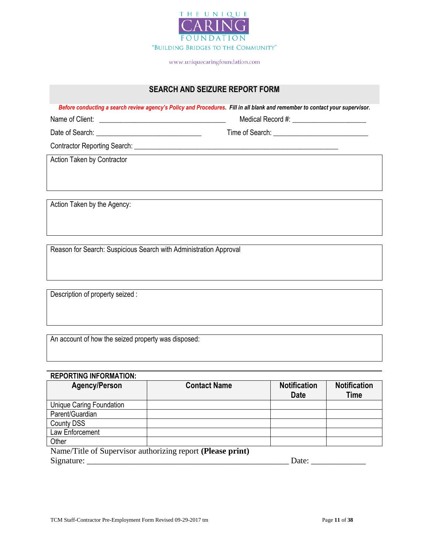

### **SEARCH AND SEIZURE REPORT FORM**

*Before conducting a search review agency's Policy and Procedures. Fill in all blank and remember to contact your supervisor.*

Name of Client: \_\_\_\_\_\_\_\_\_\_\_\_\_\_\_\_\_\_\_\_\_\_\_\_\_\_\_\_\_\_\_\_\_\_\_\_ Medical Record #: \_\_\_\_\_\_\_\_\_\_\_\_\_\_\_\_\_\_\_\_\_

Date of Search: <br>
Time of Search: <br>
Time of Search:

Contractor Reporting Search: \_\_\_\_\_\_\_\_\_\_\_\_\_\_\_\_\_\_\_\_\_\_\_\_\_\_\_\_\_\_\_\_\_\_\_\_\_\_\_\_\_\_\_\_\_\_\_\_\_\_\_\_\_\_\_\_\_\_

Action Taken by Contractor

Action Taken by the Agency:

Reason for Search: Suspicious Search with Administration Approval

Description of property seized :

An account of how the seized property was disposed:

### **REPORTING INFORMATION:**

| <b>Agency/Person</b>     | <b>Contact Name</b>                                        | <b>Notification</b><br><b>Date</b> | <b>Notification</b><br>Time |
|--------------------------|------------------------------------------------------------|------------------------------------|-----------------------------|
| Unique Caring Foundation |                                                            |                                    |                             |
| Parent/Guardian          |                                                            |                                    |                             |
| <b>County DSS</b>        |                                                            |                                    |                             |
| Law Enforcement          |                                                            |                                    |                             |
| Other                    |                                                            |                                    |                             |
|                          | Name/Title of Supervisor authorizing report (Please print) |                                    |                             |
| Signature:               |                                                            | Date:                              |                             |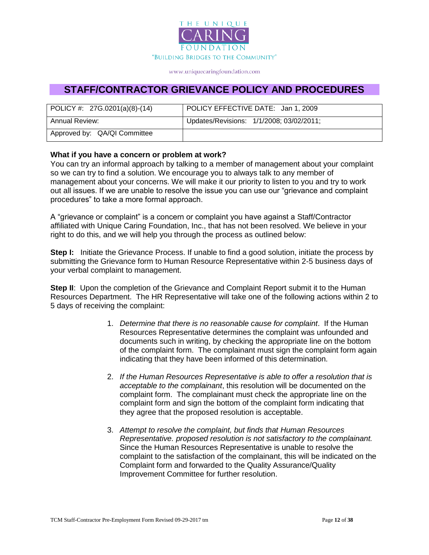

## **STAFF/CONTRACTOR GRIEVANCE POLICY AND PROCEDURES**

| POLICY #: $27G.0201(a)(8)-(14)$ | POLICY EFFECTIVE DATE: Jan 1, 2009       |  |
|---------------------------------|------------------------------------------|--|
| <b>Annual Review:</b>           | Updates/Revisions: 1/1/2008; 03/02/2011; |  |
| Approved by: QA/QI Committee    |                                          |  |

### **What if you have a concern or problem at work?**

You can try an informal approach by talking to a member of management about your complaint so we can try to find a solution. We encourage you to always talk to any member of management about your concerns. We will make it our priority to listen to you and try to work out all issues. If we are unable to resolve the issue you can use our "grievance and complaint procedures" to take a more formal approach.

A "grievance or complaint" is a concern or complaint you have against a Staff/Contractor affiliated with Unique Caring Foundation, Inc., that has not been resolved. We believe in your right to do this, and we will help you through the process as outlined below:

**Step I:** Initiate the Grievance Process. If unable to find a good solution, initiate the process by submitting the Grievance form to Human Resource Representative within 2-5 business days of your verbal complaint to management.

**Step II:** Upon the completion of the Grievance and Complaint Report submit it to the Human Resources Department. The HR Representative will take one of the following actions within 2 to 5 days of receiving the complaint:

- 1. *Determine that there is no reasonable cause for complaint*. If the Human Resources Representative determines the complaint was unfounded and documents such in writing, by checking the appropriate line on the bottom of the complaint form. The complainant must sign the complaint form again indicating that they have been informed of this determination.
- 2. *If the Human Resources Representative is able to offer a resolution that is acceptable to the complainant*, this resolution will be documented on the complaint form. The complainant must check the appropriate line on the complaint form and sign the bottom of the complaint form indicating that they agree that the proposed resolution is acceptable.
- 3. *Attempt to resolve the complaint, but finds that Human Resources Representative. proposed resolution is not satisfactory to the complainant.* Since the Human Resources Representative is unable to resolve the complaint to the satisfaction of the complainant, this will be indicated on the Complaint form and forwarded to the Quality Assurance/Quality Improvement Committee for further resolution.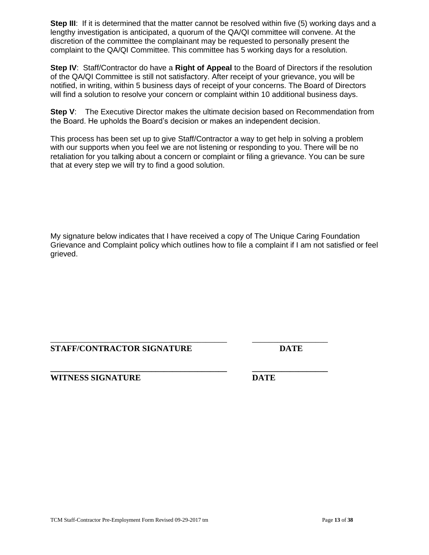**Step III:** If it is determined that the matter cannot be resolved within five (5) working days and a lengthy investigation is anticipated, a quorum of the QA/QI committee will convene. At the discretion of the committee the complainant may be requested to personally present the complaint to the QA/QI Committee. This committee has 5 working days for a resolution.

**Step IV**: Staff/Contractor do have a **Right of Appeal** to the Board of Directors if the resolution of the QA/QI Committee is still not satisfactory. After receipt of your grievance, you will be notified, in writing, within 5 business days of receipt of your concerns. The Board of Directors will find a solution to resolve your concern or complaint within 10 additional business days.

**Step V:** The Executive Director makes the ultimate decision based on Recommendation from the Board. He upholds the Board's decision or makes an independent decision.

This process has been set up to give Staff/Contractor a way to get help in solving a problem with our supports when you feel we are not listening or responding to you. There will be no retaliation for you talking about a concern or complaint or filing a grievance. You can be sure that at every step we will try to find a good solution.

My signature below indicates that I have received a copy of The Unique Caring Foundation Grievance and Complaint policy which outlines how to file a complaint if I am not satisfied or feel grieved.

### \_\_\_\_\_\_\_\_\_\_\_\_\_\_\_\_\_\_\_\_\_\_\_\_\_\_\_\_\_\_\_\_\_\_\_\_\_\_\_\_\_\_ \_\_\_\_\_\_\_\_\_\_\_\_\_\_\_\_\_\_ **STAFF/CONTRACTOR SIGNATURE DATE**

**\_\_\_\_\_\_\_\_\_\_\_\_\_\_\_\_\_\_\_\_\_\_\_\_\_\_\_\_\_\_\_\_\_\_\_\_\_\_\_\_\_\_ \_\_\_\_\_\_\_\_\_\_\_\_\_\_\_\_\_\_ WITNESS SIGNATURE DATE**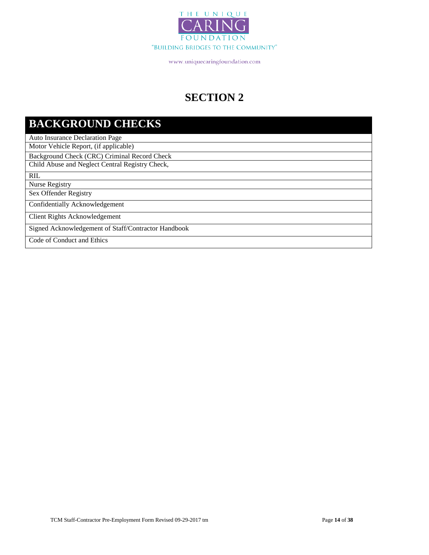

# **SECTION 2**

# **BACKGROUND CHECKS**

Auto Insurance Declaration Page

Motor Vehicle Report, (if applicable)

Background Check (CRC) Criminal Record Check

Child Abuse and Neglect Central Registry Check,

RIL

Nurse Registry

Sex Offender Registry

Confidentially Acknowledgement

Client Rights Acknowledgement

Signed Acknowledgement of Staff/Contractor Handbook

Code of Conduct and Ethics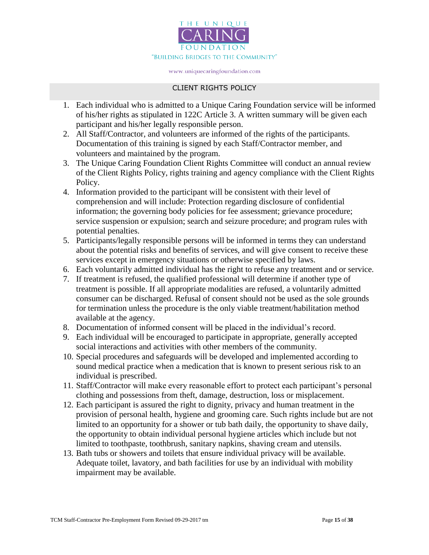

### CLIENT RIGHTS POLICY

- 1. Each individual who is admitted to a Unique Caring Foundation service will be informed of his/her rights as stipulated in 122C Article 3. A written summary will be given each participant and his/her legally responsible person.
- 2. All Staff/Contractor, and volunteers are informed of the rights of the participants. Documentation of this training is signed by each Staff/Contractor member, and volunteers and maintained by the program.
- 3. The Unique Caring Foundation Client Rights Committee will conduct an annual review of the Client Rights Policy, rights training and agency compliance with the Client Rights Policy.
- 4. Information provided to the participant will be consistent with their level of comprehension and will include: Protection regarding disclosure of confidential information; the governing body policies for fee assessment; grievance procedure; service suspension or expulsion; search and seizure procedure; and program rules with potential penalties.
- 5. Participants/legally responsible persons will be informed in terms they can understand about the potential risks and benefits of services, and will give consent to receive these services except in emergency situations or otherwise specified by laws.
- 6. Each voluntarily admitted individual has the right to refuse any treatment and or service.
- 7. If treatment is refused, the qualified professional will determine if another type of treatment is possible. If all appropriate modalities are refused, a voluntarily admitted consumer can be discharged. Refusal of consent should not be used as the sole grounds for termination unless the procedure is the only viable treatment/habilitation method available at the agency.
- 8. Documentation of informed consent will be placed in the individual's record.
- 9. Each individual will be encouraged to participate in appropriate, generally accepted social interactions and activities with other members of the community.
- 10. Special procedures and safeguards will be developed and implemented according to sound medical practice when a medication that is known to present serious risk to an individual is prescribed.
- 11. Staff/Contractor will make every reasonable effort to protect each participant's personal clothing and possessions from theft, damage, destruction, loss or misplacement.
- 12. Each participant is assured the right to dignity, privacy and human treatment in the provision of personal health, hygiene and grooming care. Such rights include but are not limited to an opportunity for a shower or tub bath daily, the opportunity to shave daily, the opportunity to obtain individual personal hygiene articles which include but not limited to toothpaste, toothbrush, sanitary napkins, shaving cream and utensils.
- 13. Bath tubs or showers and toilets that ensure individual privacy will be available. Adequate toilet, lavatory, and bath facilities for use by an individual with mobility impairment may be available.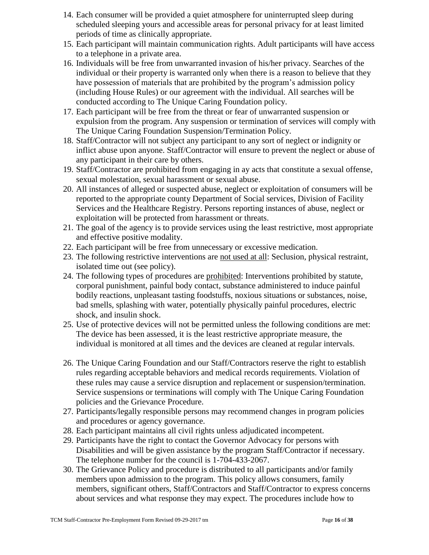- 14. Each consumer will be provided a quiet atmosphere for uninterrupted sleep during scheduled sleeping yours and accessible areas for personal privacy for at least limited periods of time as clinically appropriate.
- 15. Each participant will maintain communication rights. Adult participants will have access to a telephone in a private area.
- 16. Individuals will be free from unwarranted invasion of his/her privacy. Searches of the individual or their property is warranted only when there is a reason to believe that they have possession of materials that are prohibited by the program's admission policy (including House Rules) or our agreement with the individual. All searches will be conducted according to The Unique Caring Foundation policy.
- 17. Each participant will be free from the threat or fear of unwarranted suspension or expulsion from the program. Any suspension or termination of services will comply with The Unique Caring Foundation Suspension/Termination Policy.
- 18. Staff/Contractor will not subject any participant to any sort of neglect or indignity or inflict abuse upon anyone. Staff/Contractor will ensure to prevent the neglect or abuse of any participant in their care by others.
- 19. Staff/Contractor are prohibited from engaging in ay acts that constitute a sexual offense, sexual molestation, sexual harassment or sexual abuse.
- 20. All instances of alleged or suspected abuse, neglect or exploitation of consumers will be reported to the appropriate county Department of Social services, Division of Facility Services and the Healthcare Registry. Persons reporting instances of abuse, neglect or exploitation will be protected from harassment or threats.
- 21. The goal of the agency is to provide services using the least restrictive, most appropriate and effective positive modality.
- 22. Each participant will be free from unnecessary or excessive medication.
- 23. The following restrictive interventions are not used at all: Seclusion, physical restraint, isolated time out (see policy).
- 24. The following types of procedures are prohibited: Interventions prohibited by statute, corporal punishment, painful body contact, substance administered to induce painful bodily reactions, unpleasant tasting foodstuffs, noxious situations or substances, noise, bad smells, splashing with water, potentially physically painful procedures, electric shock, and insulin shock.
- 25. Use of protective devices will not be permitted unless the following conditions are met: The device has been assessed, it is the least restrictive appropriate measure, the individual is monitored at all times and the devices are cleaned at regular intervals.
- 26. The Unique Caring Foundation and our Staff/Contractors reserve the right to establish rules regarding acceptable behaviors and medical records requirements. Violation of these rules may cause a service disruption and replacement or suspension/termination. Service suspensions or terminations will comply with The Unique Caring Foundation policies and the Grievance Procedure.
- 27. Participants/legally responsible persons may recommend changes in program policies and procedures or agency governance.
- 28. Each participant maintains all civil rights unless adjudicated incompetent.
- 29. Participants have the right to contact the Governor Advocacy for persons with Disabilities and will be given assistance by the program Staff/Contractor if necessary. The telephone number for the council is 1-704-433-2067.
- 30. The Grievance Policy and procedure is distributed to all participants and/or family members upon admission to the program. This policy allows consumers, family members, significant others, Staff/Contractors and Staff/Contractor to express concerns about services and what response they may expect. The procedures include how to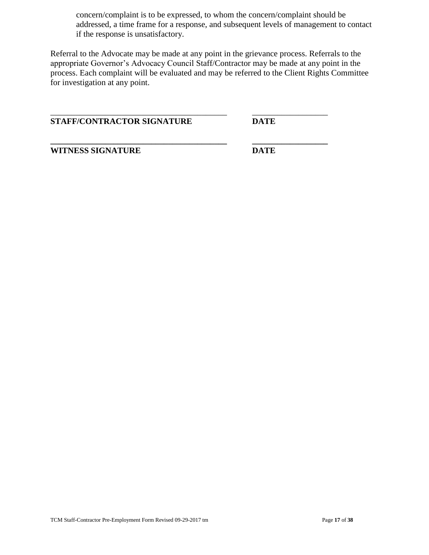concern/complaint is to be expressed, to whom the concern/complaint should be addressed, a time frame for a response, and subsequent levels of management to contact if the response is unsatisfactory.

Referral to the Advocate may be made at any point in the grievance process. Referrals to the appropriate Governor's Advocacy Council Staff/Contractor may be made at any point in the process. Each complaint will be evaluated and may be referred to the Client Rights Committee for investigation at any point.

\_\_\_\_\_\_\_\_\_\_\_\_\_\_\_\_\_\_\_\_\_\_\_\_\_\_\_\_\_\_\_\_\_\_\_\_\_\_\_\_\_\_ \_\_\_\_\_\_\_\_\_\_\_\_\_\_\_\_\_\_

**\_\_\_\_\_\_\_\_\_\_\_\_\_\_\_\_\_\_\_\_\_\_\_\_\_\_\_\_\_\_\_\_\_\_\_\_\_\_\_\_\_\_ \_\_\_\_\_\_\_\_\_\_\_\_\_\_\_\_\_\_**

**STAFF/CONTRACTOR SIGNATURE DATE**

**WITNESS SIGNATURE DATE**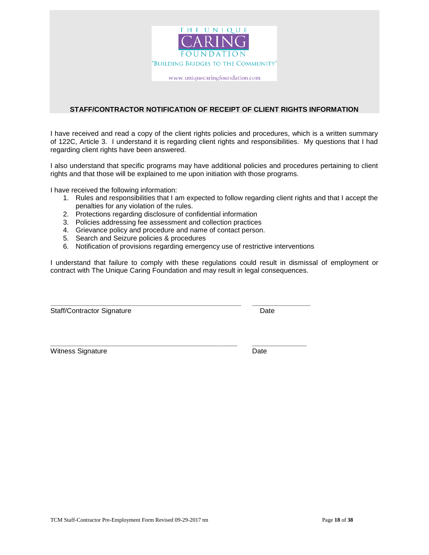

#### **STAFF/CONTRACTOR NOTIFICATION OF RECEIPT OF CLIENT RIGHTS INFORMATION**

I have received and read a copy of the client rights policies and procedures, which is a written summary of 122C, Article 3. I understand it is regarding client rights and responsibilities. My questions that I had regarding client rights have been answered.

I also understand that specific programs may have additional policies and procedures pertaining to client rights and that those will be explained to me upon initiation with those programs.

I have received the following information:

- 1. Rules and responsibilities that I am expected to follow regarding client rights and that I accept the penalties for any violation of the rules.
- 2. Protections regarding disclosure of confidential information
- 3. Policies addressing fee assessment and collection practices
- 4. Grievance policy and procedure and name of contact person.
- 5. Search and Seizure policies & procedures
- 6. Notification of provisions regarding emergency use of restrictive interventions

**\_\_\_\_\_\_\_\_\_\_\_\_\_\_\_\_\_\_\_\_\_\_\_\_\_\_\_\_\_\_\_\_\_\_\_\_\_\_\_\_\_\_\_\_\_\_\_\_\_ \_\_\_\_\_\_\_\_\_\_\_\_\_\_\_**

**\_\_\_\_\_\_\_\_\_\_\_\_\_\_\_\_\_\_\_\_\_\_\_\_\_\_\_\_\_\_\_\_\_\_\_\_\_\_\_\_\_\_\_\_\_\_\_\_ \_\_\_\_\_\_\_\_\_\_\_\_\_\_**

I understand that failure to comply with these regulations could result in dismissal of employment or contract with The Unique Caring Foundation and may result in legal consequences.

Staff/Contractor Signature Date

Witness Signature **Date**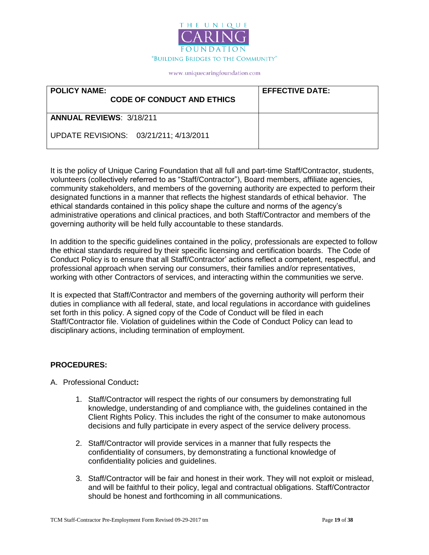

| <b>POLICY NAME:</b><br><b>CODE OF CONDUCT AND ETHICS</b> | <b>EFFECTIVE DATE:</b> |
|----------------------------------------------------------|------------------------|
| <b>ANNUAL REVIEWS: 3/18/211</b>                          |                        |
| UPDATE REVISIONS: 03/21/211; 4/13/2011                   |                        |

It is the policy of Unique Caring Foundation that all full and part-time Staff/Contractor, students, volunteers (collectively referred to as "Staff/Contractor"), Board members, affiliate agencies, community stakeholders, and members of the governing authority are expected to perform their designated functions in a manner that reflects the highest standards of ethical behavior. The ethical standards contained in this policy shape the culture and norms of the agency's administrative operations and clinical practices, and both Staff/Contractor and members of the governing authority will be held fully accountable to these standards.

In addition to the specific guidelines contained in the policy, professionals are expected to follow the ethical standards required by their specific licensing and certification boards. The Code of Conduct Policy is to ensure that all Staff/Contractor' actions reflect a competent, respectful, and professional approach when serving our consumers, their families and/or representatives, working with other Contractors of services, and interacting within the communities we serve.

It is expected that Staff/Contractor and members of the governing authority will perform their duties in compliance with all federal, state, and local regulations in accordance with guidelines set forth in this policy. A signed copy of the Code of Conduct will be filed in each Staff/Contractor file. Violation of guidelines within the Code of Conduct Policy can lead to disciplinary actions, including termination of employment.

### **PROCEDURES:**

- A. Professional Conduct**:**
	- 1. Staff/Contractor will respect the rights of our consumers by demonstrating full knowledge, understanding of and compliance with, the guidelines contained in the Client Rights Policy. This includes the right of the consumer to make autonomous decisions and fully participate in every aspect of the service delivery process.
	- 2. Staff/Contractor will provide services in a manner that fully respects the confidentiality of consumers, by demonstrating a functional knowledge of confidentiality policies and guidelines.
	- 3. Staff/Contractor will be fair and honest in their work. They will not exploit or mislead, and will be faithful to their policy, legal and contractual obligations. Staff/Contractor should be honest and forthcoming in all communications.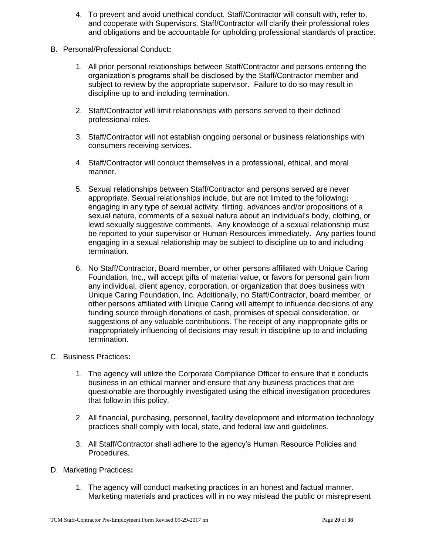- 4. To prevent and avoid unethical conduct, Staff/Contractor will consult with, refer to, and cooperate with Supervisors. Staff/Contractor will clarify their professional roles and obligations and be accountable for upholding professional standards of practice.
- B. Personal/Professional Conduct**:**
	- 1. All prior personal relationships between Staff/Contractor and persons entering the organization's programs shall be disclosed by the Staff/Contractor member and subject to review by the appropriate supervisor. Failure to do so may result in discipline up to and including termination.
	- 2. Staff/Contractor will limit relationships with persons served to their defined professional roles.
	- 3. Staff/Contractor will not establish ongoing personal or business relationships with consumers receiving services.
	- 4. Staff/Contractor will conduct themselves in a professional, ethical, and moral manner.
	- 5. Sexual relationships between Staff/Contractor and persons served are never appropriate. Sexual relationships include, but are not limited to the following**:** engaging in any type of sexual activity, flirting, advances and/or propositions of a sexual nature, comments of a sexual nature about an individual's body, clothing, or lewd sexually suggestive comments. Any knowledge of a sexual relationship must be reported to your supervisor or Human Resources immediately. Any parties found engaging in a sexual relationship may be subject to discipline up to and including termination.
	- 6. No Staff/Contractor, Board member, or other persons affiliated with Unique Caring Foundation, Inc., will accept gifts of material value, or favors for personal gain from any individual, client agency, corporation, or organization that does business with Unique Caring Foundation, Inc. Additionally, no Staff/Contractor, board member, or other persons affiliated with Unique Caring will attempt to influence decisions of any funding source through donations of cash, promises of special consideration, or suggestions of any valuable contributions. The receipt of any inappropriate gifts or inappropriately influencing of decisions may result in discipline up to and including termination.
- C. Business Practices**:**
	- 1. The agency will utilize the Corporate Compliance Officer to ensure that it conducts business in an ethical manner and ensure that any business practices that are questionable are thoroughly investigated using the ethical investigation procedures that follow in this policy.
	- 2. All financial, purchasing, personnel, facility development and information technology practices shall comply with local, state, and federal law and guidelines.
	- 3. All Staff/Contractor shall adhere to the agency's Human Resource Policies and Procedures.
- D. Marketing Practices**:**
	- 1. The agency will conduct marketing practices in an honest and factual manner. Marketing materials and practices will in no way mislead the public or misrepresent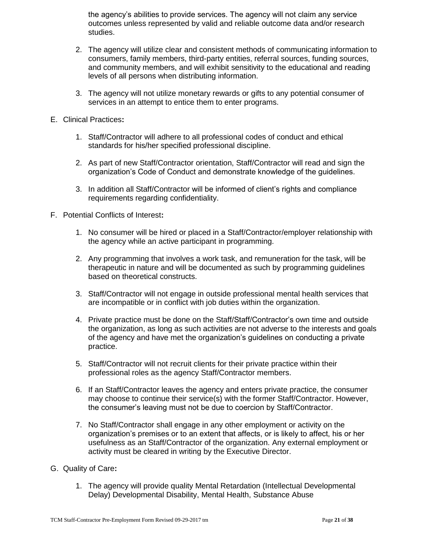the agency's abilities to provide services. The agency will not claim any service outcomes unless represented by valid and reliable outcome data and/or research studies.

- 2. The agency will utilize clear and consistent methods of communicating information to consumers, family members, third-party entities, referral sources, funding sources, and community members, and will exhibit sensitivity to the educational and reading levels of all persons when distributing information.
- 3. The agency will not utilize monetary rewards or gifts to any potential consumer of services in an attempt to entice them to enter programs.
- E. Clinical Practices**:**
	- 1. Staff/Contractor will adhere to all professional codes of conduct and ethical standards for his/her specified professional discipline.
	- 2. As part of new Staff/Contractor orientation, Staff/Contractor will read and sign the organization's Code of Conduct and demonstrate knowledge of the guidelines.
	- 3. In addition all Staff/Contractor will be informed of client's rights and compliance requirements regarding confidentiality.
- F. Potential Conflicts of Interest**:**
	- 1. No consumer will be hired or placed in a Staff/Contractor/employer relationship with the agency while an active participant in programming.
	- 2. Any programming that involves a work task, and remuneration for the task, will be therapeutic in nature and will be documented as such by programming guidelines based on theoretical constructs.
	- 3. Staff/Contractor will not engage in outside professional mental health services that are incompatible or in conflict with job duties within the organization.
	- 4. Private practice must be done on the Staff/Staff/Contractor's own time and outside the organization, as long as such activities are not adverse to the interests and goals of the agency and have met the organization's guidelines on conducting a private practice.
	- 5. Staff/Contractor will not recruit clients for their private practice within their professional roles as the agency Staff/Contractor members.
	- 6. If an Staff/Contractor leaves the agency and enters private practice, the consumer may choose to continue their service(s) with the former Staff/Contractor. However, the consumer's leaving must not be due to coercion by Staff/Contractor.
	- 7. No Staff/Contractor shall engage in any other employment or activity on the organization's premises or to an extent that affects, or is likely to affect, his or her usefulness as an Staff/Contractor of the organization. Any external employment or activity must be cleared in writing by the Executive Director.
- G. Quality of Care**:**
	- 1. The agency will provide quality Mental Retardation (Intellectual Developmental Delay) Developmental Disability, Mental Health, Substance Abuse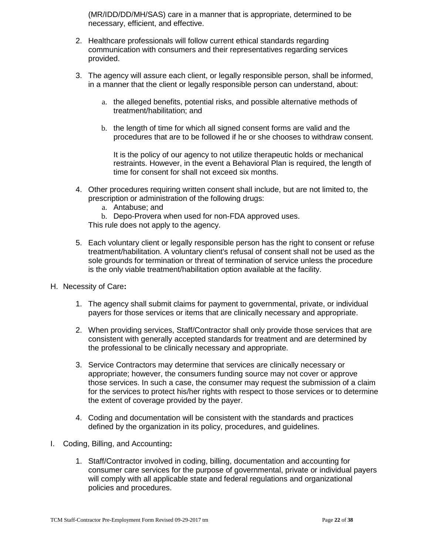(MR/IDD/DD/MH/SAS) care in a manner that is appropriate, determined to be necessary, efficient, and effective.

- 2. Healthcare professionals will follow current ethical standards regarding communication with consumers and their representatives regarding services provided.
- 3. The agency will assure each client, or legally responsible person, shall be informed, in a manner that the client or legally responsible person can understand, about:
	- a. the alleged benefits, potential risks, and possible alternative methods of treatment/habilitation; and
	- b. the length of time for which all signed consent forms are valid and the procedures that are to be followed if he or she chooses to withdraw consent.

It is the policy of our agency to not utilize therapeutic holds or mechanical restraints. However, in the event a Behavioral Plan is required, the length of time for consent for shall not exceed six months.

- 4. Other procedures requiring written consent shall include, but are not limited to, the prescription or administration of the following drugs:
	- a. Antabuse; and
	- b. Depo-Provera when used for non-FDA approved uses.
	- This rule does not apply to the agency.
- 5. Each voluntary client or legally responsible person has the right to consent or refuse treatment/habilitation. A voluntary client's refusal of consent shall not be used as the sole grounds for termination or threat of termination of service unless the procedure is the only viable treatment/habilitation option available at the facility.
- H. Necessity of Care**:**
	- 1. The agency shall submit claims for payment to governmental, private, or individual payers for those services or items that are clinically necessary and appropriate.
	- 2. When providing services, Staff/Contractor shall only provide those services that are consistent with generally accepted standards for treatment and are determined by the professional to be clinically necessary and appropriate.
	- 3. Service Contractors may determine that services are clinically necessary or appropriate; however, the consumers funding source may not cover or approve those services. In such a case, the consumer may request the submission of a claim for the services to protect his/her rights with respect to those services or to determine the extent of coverage provided by the payer.
	- 4. Coding and documentation will be consistent with the standards and practices defined by the organization in its policy, procedures, and guidelines.
- I. Coding, Billing, and Accounting**:**
	- 1. Staff/Contractor involved in coding, billing, documentation and accounting for consumer care services for the purpose of governmental, private or individual payers will comply with all applicable state and federal regulations and organizational policies and procedures.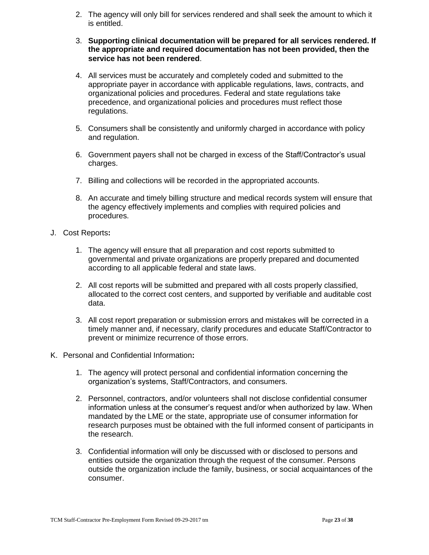- 2. The agency will only bill for services rendered and shall seek the amount to which it is entitled.
- 3. **Supporting clinical documentation will be prepared for all services rendered. If the appropriate and required documentation has not been provided, then the service has not been rendered**.
- 4. All services must be accurately and completely coded and submitted to the appropriate payer in accordance with applicable regulations, laws, contracts, and organizational policies and procedures. Federal and state regulations take precedence, and organizational policies and procedures must reflect those regulations.
- 5. Consumers shall be consistently and uniformly charged in accordance with policy and regulation.
- 6. Government payers shall not be charged in excess of the Staff/Contractor's usual charges.
- 7. Billing and collections will be recorded in the appropriated accounts.
- 8. An accurate and timely billing structure and medical records system will ensure that the agency effectively implements and complies with required policies and procedures.
- J. Cost Reports**:**
	- 1. The agency will ensure that all preparation and cost reports submitted to governmental and private organizations are properly prepared and documented according to all applicable federal and state laws.
	- 2. All cost reports will be submitted and prepared with all costs properly classified, allocated to the correct cost centers, and supported by verifiable and auditable cost data.
	- 3. All cost report preparation or submission errors and mistakes will be corrected in a timely manner and, if necessary, clarify procedures and educate Staff/Contractor to prevent or minimize recurrence of those errors.
- K. Personal and Confidential Information**:**
	- 1. The agency will protect personal and confidential information concerning the organization's systems, Staff/Contractors, and consumers.
	- 2. Personnel, contractors, and/or volunteers shall not disclose confidential consumer information unless at the consumer's request and/or when authorized by law. When mandated by the LME or the state, appropriate use of consumer information for research purposes must be obtained with the full informed consent of participants in the research.
	- 3. Confidential information will only be discussed with or disclosed to persons and entities outside the organization through the request of the consumer. Persons outside the organization include the family, business, or social acquaintances of the consumer.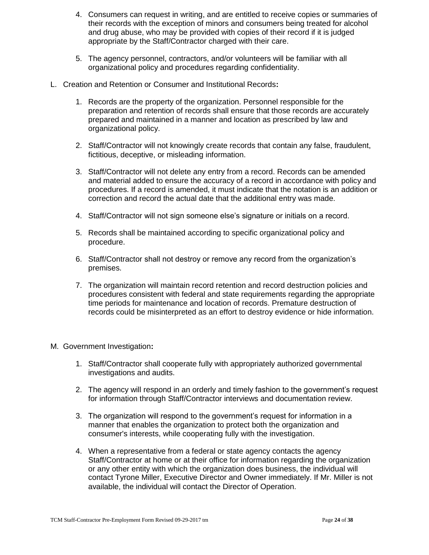- 4. Consumers can request in writing, and are entitled to receive copies or summaries of their records with the exception of minors and consumers being treated for alcohol and drug abuse, who may be provided with copies of their record if it is judged appropriate by the Staff/Contractor charged with their care.
- 5. The agency personnel, contractors, and/or volunteers will be familiar with all organizational policy and procedures regarding confidentiality.
- L. Creation and Retention or Consumer and Institutional Records**:**
	- 1. Records are the property of the organization. Personnel responsible for the preparation and retention of records shall ensure that those records are accurately prepared and maintained in a manner and location as prescribed by law and organizational policy.
	- 2. Staff/Contractor will not knowingly create records that contain any false, fraudulent, fictitious, deceptive, or misleading information.
	- 3. Staff/Contractor will not delete any entry from a record. Records can be amended and material added to ensure the accuracy of a record in accordance with policy and procedures. If a record is amended, it must indicate that the notation is an addition or correction and record the actual date that the additional entry was made.
	- 4. Staff/Contractor will not sign someone else's signature or initials on a record.
	- 5. Records shall be maintained according to specific organizational policy and procedure.
	- 6. Staff/Contractor shall not destroy or remove any record from the organization's premises.
	- 7. The organization will maintain record retention and record destruction policies and procedures consistent with federal and state requirements regarding the appropriate time periods for maintenance and location of records. Premature destruction of records could be misinterpreted as an effort to destroy evidence or hide information.
- M. Government Investigation**:**
	- 1. Staff/Contractor shall cooperate fully with appropriately authorized governmental investigations and audits.
	- 2. The agency will respond in an orderly and timely fashion to the government's request for information through Staff/Contractor interviews and documentation review.
	- 3. The organization will respond to the government's request for information in a manner that enables the organization to protect both the organization and consumer's interests, while cooperating fully with the investigation.
	- 4. When a representative from a federal or state agency contacts the agency Staff/Contractor at home or at their office for information regarding the organization or any other entity with which the organization does business, the individual will contact Tyrone Miller, Executive Director and Owner immediately. If Mr. Miller is not available, the individual will contact the Director of Operation.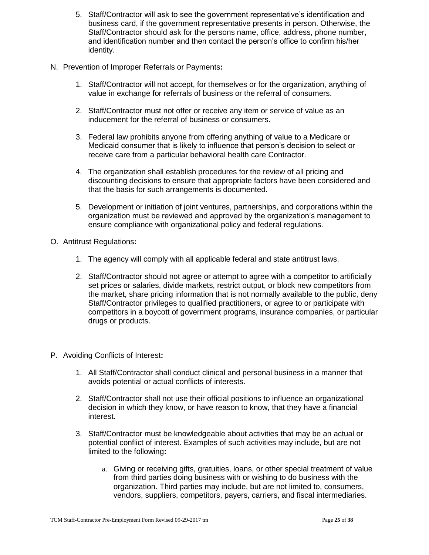- 5. Staff/Contractor will ask to see the government representative's identification and business card, if the government representative presents in person. Otherwise, the Staff/Contractor should ask for the persons name, office, address, phone number, and identification number and then contact the person's office to confirm his/her identity.
- N. Prevention of Improper Referrals or Payments**:**
	- 1. Staff/Contractor will not accept, for themselves or for the organization, anything of value in exchange for referrals of business or the referral of consumers.
	- 2. Staff/Contractor must not offer or receive any item or service of value as an inducement for the referral of business or consumers.
	- 3. Federal law prohibits anyone from offering anything of value to a Medicare or Medicaid consumer that is likely to influence that person's decision to select or receive care from a particular behavioral health care Contractor.
	- 4. The organization shall establish procedures for the review of all pricing and discounting decisions to ensure that appropriate factors have been considered and that the basis for such arrangements is documented.
	- 5. Development or initiation of joint ventures, partnerships, and corporations within the organization must be reviewed and approved by the organization's management to ensure compliance with organizational policy and federal regulations.
- O. Antitrust Regulations**:**
	- 1. The agency will comply with all applicable federal and state antitrust laws.
	- 2. Staff/Contractor should not agree or attempt to agree with a competitor to artificially set prices or salaries, divide markets, restrict output, or block new competitors from the market, share pricing information that is not normally available to the public, deny Staff/Contractor privileges to qualified practitioners, or agree to or participate with competitors in a boycott of government programs, insurance companies, or particular drugs or products.
- P. Avoiding Conflicts of Interest**:**
	- 1. All Staff/Contractor shall conduct clinical and personal business in a manner that avoids potential or actual conflicts of interests.
	- 2. Staff/Contractor shall not use their official positions to influence an organizational decision in which they know, or have reason to know, that they have a financial interest.
	- 3. Staff/Contractor must be knowledgeable about activities that may be an actual or potential conflict of interest. Examples of such activities may include, but are not limited to the following**:**
		- a. Giving or receiving gifts, gratuities, loans, or other special treatment of value from third parties doing business with or wishing to do business with the organization. Third parties may include, but are not limited to, consumers, vendors, suppliers, competitors, payers, carriers, and fiscal intermediaries.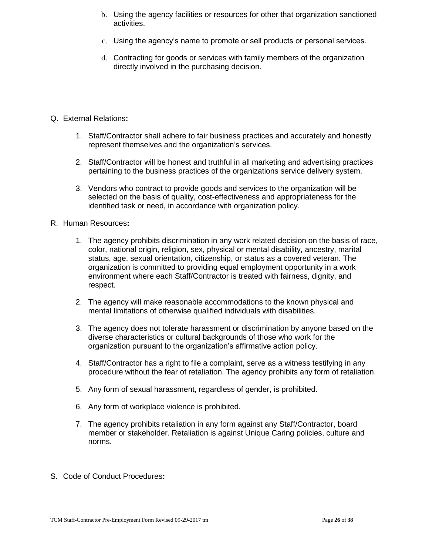- b. Using the agency facilities or resources for other that organization sanctioned activities.
- c. Using the agency's name to promote or sell products or personal services.
- d. Contracting for goods or services with family members of the organization directly involved in the purchasing decision.
- Q. External Relations**:**
	- 1. Staff/Contractor shall adhere to fair business practices and accurately and honestly represent themselves and the organization's services.
	- 2. Staff/Contractor will be honest and truthful in all marketing and advertising practices pertaining to the business practices of the organizations service delivery system.
	- 3. Vendors who contract to provide goods and services to the organization will be selected on the basis of quality, cost-effectiveness and appropriateness for the identified task or need, in accordance with organization policy.
- R. Human Resources**:**
	- 1. The agency prohibits discrimination in any work related decision on the basis of race, color, national origin, religion, sex, physical or mental disability, ancestry, marital status, age, sexual orientation, citizenship, or status as a covered veteran. The organization is committed to providing equal employment opportunity in a work environment where each Staff/Contractor is treated with fairness, dignity, and respect.
	- 2. The agency will make reasonable accommodations to the known physical and mental limitations of otherwise qualified individuals with disabilities.
	- 3. The agency does not tolerate harassment or discrimination by anyone based on the diverse characteristics or cultural backgrounds of those who work for the organization pursuant to the organization's affirmative action policy.
	- 4. Staff/Contractor has a right to file a complaint, serve as a witness testifying in any procedure without the fear of retaliation. The agency prohibits any form of retaliation.
	- 5. Any form of sexual harassment, regardless of gender, is prohibited.
	- 6. Any form of workplace violence is prohibited.
	- 7. The agency prohibits retaliation in any form against any Staff/Contractor, board member or stakeholder. Retaliation is against Unique Caring policies, culture and norms.
- S. Code of Conduct Procedures**:**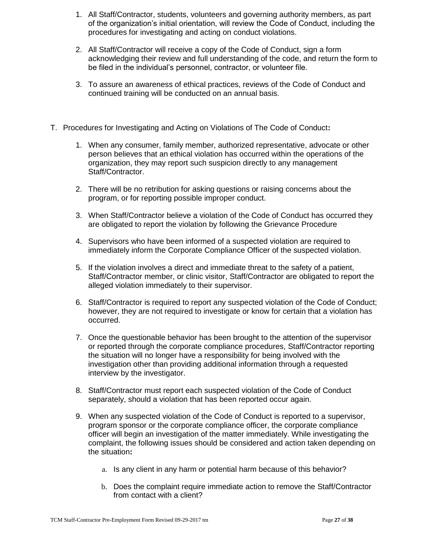- 1. All Staff/Contractor, students, volunteers and governing authority members, as part of the organization's initial orientation, will review the Code of Conduct, including the procedures for investigating and acting on conduct violations.
- 2. All Staff/Contractor will receive a copy of the Code of Conduct, sign a form acknowledging their review and full understanding of the code, and return the form to be filed in the individual's personnel, contractor, or volunteer file.
- 3. To assure an awareness of ethical practices, reviews of the Code of Conduct and continued training will be conducted on an annual basis.
- T. Procedures for Investigating and Acting on Violations of The Code of Conduct**:**
	- 1. When any consumer, family member, authorized representative, advocate or other person believes that an ethical violation has occurred within the operations of the organization, they may report such suspicion directly to any management Staff/Contractor.
	- 2. There will be no retribution for asking questions or raising concerns about the program, or for reporting possible improper conduct.
	- 3. When Staff/Contractor believe a violation of the Code of Conduct has occurred they are obligated to report the violation by following the Grievance Procedure
	- 4. Supervisors who have been informed of a suspected violation are required to immediately inform the Corporate Compliance Officer of the suspected violation.
	- 5. If the violation involves a direct and immediate threat to the safety of a patient, Staff/Contractor member, or clinic visitor, Staff/Contractor are obligated to report the alleged violation immediately to their supervisor.
	- 6. Staff/Contractor is required to report any suspected violation of the Code of Conduct; however, they are not required to investigate or know for certain that a violation has occurred.
	- 7. Once the questionable behavior has been brought to the attention of the supervisor or reported through the corporate compliance procedures, Staff/Contractor reporting the situation will no longer have a responsibility for being involved with the investigation other than providing additional information through a requested interview by the investigator.
	- 8. Staff/Contractor must report each suspected violation of the Code of Conduct separately, should a violation that has been reported occur again.
	- 9. When any suspected violation of the Code of Conduct is reported to a supervisor, program sponsor or the corporate compliance officer, the corporate compliance officer will begin an investigation of the matter immediately. While investigating the complaint, the following issues should be considered and action taken depending on the situation**:**
		- a. Is any client in any harm or potential harm because of this behavior?
		- b. Does the complaint require immediate action to remove the Staff/Contractor from contact with a client?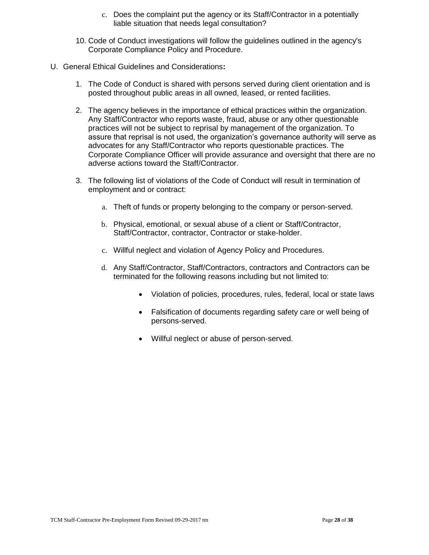- c. Does the complaint put the agency or its Staff/Contractor in a potentially liable situation that needs legal consultation?
- 10. Code of Conduct investigations will follow the guidelines outlined in the agency's Corporate Compliance Policy and Procedure.
- U. General Ethical Guidelines and Considerations**:**
	- 1. The Code of Conduct is shared with persons served during client orientation and is posted throughout public areas in all owned, leased, or rented facilities.
	- 2. The agency believes in the importance of ethical practices within the organization. Any Staff/Contractor who reports waste, fraud, abuse or any other questionable practices will not be subject to reprisal by management of the organization. To assure that reprisal is not used, the organization's governance authority will serve as advocates for any Staff/Contractor who reports questionable practices. The Corporate Compliance Officer will provide assurance and oversight that there are no adverse actions toward the Staff/Contractor.
	- 3. The following list of violations of the Code of Conduct will result in termination of employment and or contract:
		- a. Theft of funds or property belonging to the company or person-served.
		- b. Physical, emotional, or sexual abuse of a client or Staff/Contractor, Staff/Contractor, contractor, Contractor or stake-holder.
		- c. Willful neglect and violation of Agency Policy and Procedures.
		- d. Any Staff/Contractor, Staff/Contractors, contractors and Contractors can be terminated for the following reasons including but not limited to:
			- Violation of policies, procedures, rules, federal, local or state laws
			- Falsification of documents regarding safety care or well being of persons-served.
			- Willful neglect or abuse of person-served.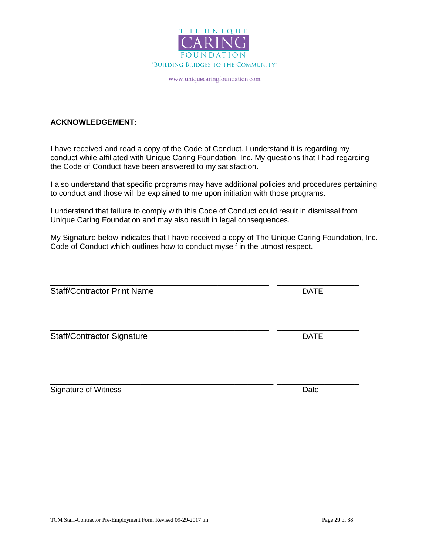

### **ACKNOWLEDGEMENT:**

I have received and read a copy of the Code of Conduct. I understand it is regarding my conduct while affiliated with Unique Caring Foundation, Inc. My questions that I had regarding the Code of Conduct have been answered to my satisfaction.

I also understand that specific programs may have additional policies and procedures pertaining to conduct and those will be explained to me upon initiation with those programs.

I understand that failure to comply with this Code of Conduct could result in dismissal from Unique Caring Foundation and may also result in legal consequences.

\_\_\_\_\_\_\_\_\_\_\_\_\_\_\_\_\_\_\_\_\_\_\_\_\_\_\_\_\_\_\_\_\_\_\_\_\_\_\_\_\_\_\_\_\_\_\_\_\_\_\_ \_\_\_\_\_\_\_\_\_\_\_\_\_\_\_\_\_\_\_

My Signature below indicates that I have received a copy of The Unique Caring Foundation, Inc. Code of Conduct which outlines how to conduct myself in the utmost respect.

Staff/Contractor Print Name **DATE** 

Staff/Contractor Signature DATE

Signature of Witness **Date** 

\_\_\_\_\_\_\_\_\_\_\_\_\_\_\_\_\_\_\_\_\_\_\_\_\_\_\_\_\_\_\_\_\_\_\_\_\_\_\_\_\_\_\_\_\_\_\_\_\_\_\_\_ \_\_\_\_\_\_\_\_\_\_\_\_\_\_\_\_\_\_\_

\_\_\_\_\_\_\_\_\_\_\_\_\_\_\_\_\_\_\_\_\_\_\_\_\_\_\_\_\_\_\_\_\_\_\_\_\_\_\_\_\_\_\_\_\_\_\_\_\_\_\_ \_\_\_\_\_\_\_\_\_\_\_\_\_\_\_\_\_\_\_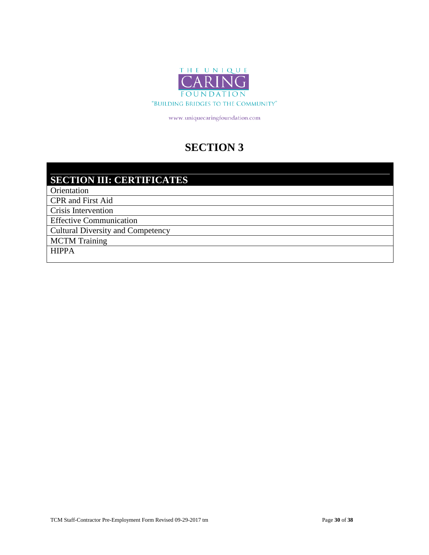

# **SECTION 3**

## **SECTION III: CERTIFICATES**

Orientation

CPR and First Aid

Crisis Intervention

Effective Communication

Cultural Diversity and Competency

MCTM Training

HIPPA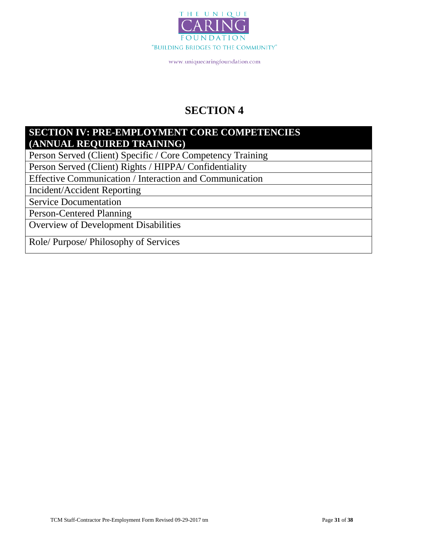

# **SECTION 4**

### **SECTION IV: PRE-EMPLOYMENT CORE COMPETENCIES (ANNUAL REQUIRED TRAINING)**

Person Served (Client) Specific / Core Competency Training

Person Served (Client) Rights / HIPPA/ Confidentiality

Effective Communication / Interaction and Communication

Incident/Accident Reporting

Service Documentation

Person-Centered Planning

Overview of Development Disabilities

Role/ Purpose/ Philosophy of Services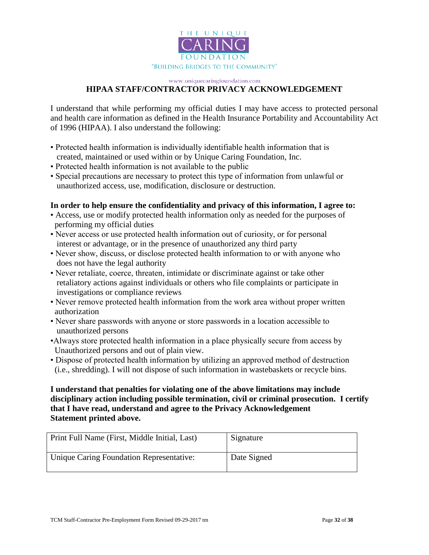

### **HIPAA STAFF/CONTRACTOR PRIVACY ACKNOWLEDGEMENT**

I understand that while performing my official duties I may have access to protected personal and health care information as defined in the Health Insurance Portability and Accountability Act of 1996 (HIPAA). I also understand the following:

- Protected health information is individually identifiable health information that is created, maintained or used within or by Unique Caring Foundation, Inc.
- Protected health information is not available to the public
- Special precautions are necessary to protect this type of information from unlawful or unauthorized access, use, modification, disclosure or destruction.

### **In order to help ensure the confidentiality and privacy of this information, I agree to:**

- Access, use or modify protected health information only as needed for the purposes of performing my official duties
- Never access or use protected health information out of curiosity, or for personal interest or advantage, or in the presence of unauthorized any third party
- Never show, discuss, or disclose protected health information to or with anyone who does not have the legal authority
- Never retaliate, coerce, threaten, intimidate or discriminate against or take other retaliatory actions against individuals or others who file complaints or participate in investigations or compliance reviews
- Never remove protected health information from the work area without proper written authorization
- Never share passwords with anyone or store passwords in a location accessible to unauthorized persons
- •Always store protected health information in a place physically secure from access by Unauthorized persons and out of plain view.
- Dispose of protected health information by utilizing an approved method of destruction (i.e., shredding). I will not dispose of such information in wastebaskets or recycle bins.

### **I understand that penalties for violating one of the above limitations may include disciplinary action including possible termination, civil or criminal prosecution. I certify that I have read, understand and agree to the Privacy Acknowledgement Statement printed above.**

| Print Full Name (First, Middle Initial, Last) | Signature   |
|-----------------------------------------------|-------------|
| Unique Caring Foundation Representative:      | Date Signed |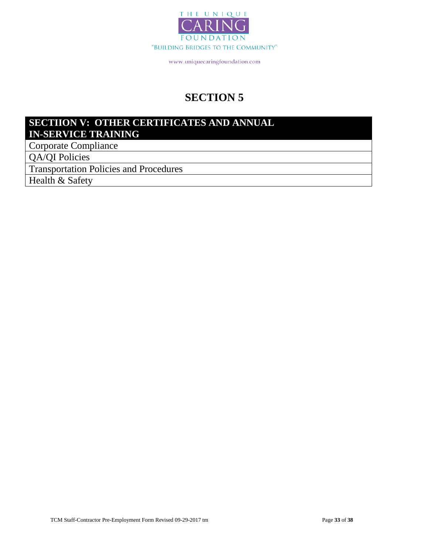

# **SECTION 5**

### **SECTIION V: OTHER CERTIFICATES AND ANNUAL IN-SERVICE TRAINING**

Corporate Compliance

QA/QI Policies

Transportation Policies and Procedures

Health & Safety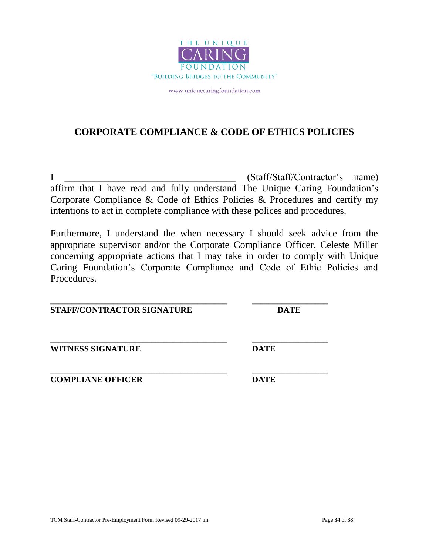

### **CORPORATE COMPLIANCE & CODE OF ETHICS POLICIES**

I  $(Staff/Start)$   $(Staff/Contractor's name)$ affirm that I have read and fully understand The Unique Caring Foundation's Corporate Compliance & Code of Ethics Policies & Procedures and certify my intentions to act in complete compliance with these polices and procedures.

Furthermore, I understand the when necessary I should seek advice from the appropriate supervisor and/or the Corporate Compliance Officer, Celeste Miller concerning appropriate actions that I may take in order to comply with Unique Caring Foundation's Corporate Compliance and Code of Ethic Policies and Procedures.

**\_\_\_\_\_\_\_\_\_\_\_\_\_\_\_\_\_\_\_\_\_\_\_\_\_\_\_\_\_\_\_\_\_\_\_\_\_\_\_\_\_\_ \_\_\_\_\_\_\_\_\_\_\_\_\_\_\_\_\_\_ STAFF/CONTRACTOR SIGNATURE DATE**

**\_\_\_\_\_\_\_\_\_\_\_\_\_\_\_\_\_\_\_\_\_\_\_\_\_\_\_\_\_\_\_\_\_\_\_\_\_\_\_\_\_\_ \_\_\_\_\_\_\_\_\_\_\_\_\_\_\_\_\_\_ WITNESS SIGNATURE DATE**

**\_\_\_\_\_\_\_\_\_\_\_\_\_\_\_\_\_\_\_\_\_\_\_\_\_\_\_\_\_\_\_\_\_\_\_\_\_\_\_\_\_\_ \_\_\_\_\_\_\_\_\_\_\_\_\_\_\_\_\_\_ COMPLIANE OFFICER DATE**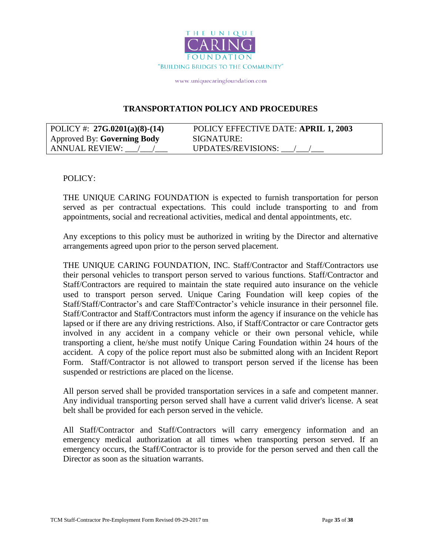

### **TRANSPORTATION POLICY AND PROCEDURES**

| POLICY #: $27G.0201(a)(8)-(14)$ | POLICY EFFECTIVE DATE: APRIL 1, 2003 |
|---------------------------------|--------------------------------------|
| Approved By: Governing Body     | SIGNATURE:                           |
| ANNUAL REVIEW:                  | <b>UPDATES/REVISIONS:</b>            |

### POLICY:

THE UNIQUE CARING FOUNDATION is expected to furnish transportation for person served as per contractual expectations. This could include transporting to and from appointments, social and recreational activities, medical and dental appointments, etc.

Any exceptions to this policy must be authorized in writing by the Director and alternative arrangements agreed upon prior to the person served placement.

THE UNIQUE CARING FOUNDATION, INC. Staff/Contractor and Staff/Contractors use their personal vehicles to transport person served to various functions. Staff/Contractor and Staff/Contractors are required to maintain the state required auto insurance on the vehicle used to transport person served. Unique Caring Foundation will keep copies of the Staff/Staff/Contractor's and care Staff/Contractor's vehicle insurance in their personnel file. Staff/Contractor and Staff/Contractors must inform the agency if insurance on the vehicle has lapsed or if there are any driving restrictions. Also, if Staff/Contractor or care Contractor gets involved in any accident in a company vehicle or their own personal vehicle, while transporting a client, he/she must notify Unique Caring Foundation within 24 hours of the accident. A copy of the police report must also be submitted along with an Incident Report Form. Staff/Contractor is not allowed to transport person served if the license has been suspended or restrictions are placed on the license.

All person served shall be provided transportation services in a safe and competent manner. Any individual transporting person served shall have a current valid driver's license. A seat belt shall be provided for each person served in the vehicle.

All Staff/Contractor and Staff/Contractors will carry emergency information and an emergency medical authorization at all times when transporting person served. If an emergency occurs, the Staff/Contractor is to provide for the person served and then call the Director as soon as the situation warrants.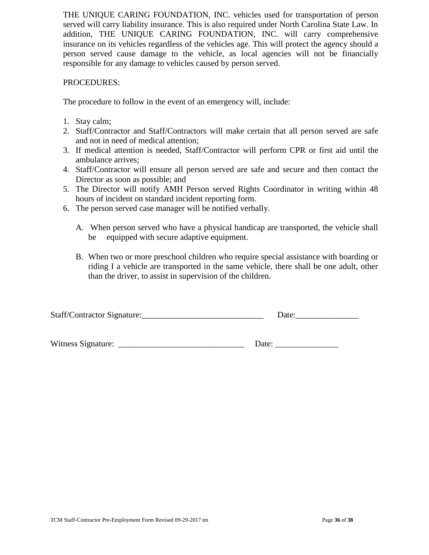THE UNIQUE CARING FOUNDATION, INC. vehicles used for transportation of person served will carry liability insurance. This is also required under North Carolina State Law. In addition, THE UNIQUE CARING FOUNDATION, INC. will carry comprehensive insurance on its vehicles regardless of the vehicles age. This will protect the agency should a person served cause damage to the vehicle, as local agencies will not be financially responsible for any damage to vehicles caused by person served.

### PROCEDURES:

The procedure to follow in the event of an emergency will, include:

- 1. Stay calm;
- 2. Staff/Contractor and Staff/Contractors will make certain that all person served are safe and not in need of medical attention;
- 3. If medical attention is needed, Staff/Contractor will perform CPR or first aid until the ambulance arrives;
- 4. Staff/Contractor will ensure all person served are safe and secure and then contact the Director as soon as possible; and
- 5. The Director will notify AMH Person served Rights Coordinator in writing within 48 hours of incident on standard incident reporting form.
- 6. The person served case manager will be notified verbally.
	- A. When person served who have a physical handicap are transported, the vehicle shall be equipped with secure adaptive equipment.
	- B. When two or more preschool children who require special assistance with boarding or riding I a vehicle are transported in the same vehicle, there shall be one adult, other than the driver, to assist in supervision of the children.

| Staff/Contractor Signature: |  |
|-----------------------------|--|
|-----------------------------|--|

Witness Signature:

| Date: |  |
|-------|--|
|       |  |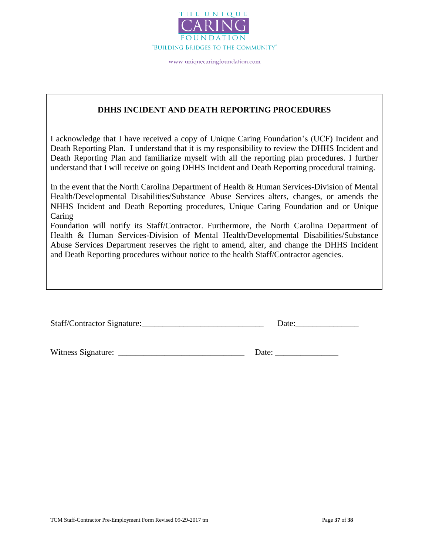

### **DHHS INCIDENT AND DEATH REPORTING PROCEDURES**

I acknowledge that I have received a copy of Unique Caring Foundation's (UCF) Incident and Death Reporting Plan. I understand that it is my responsibility to review the DHHS Incident and Death Reporting Plan and familiarize myself with all the reporting plan procedures. I further understand that I will receive on going DHHS Incident and Death Reporting procedural training.

In the event that the North Carolina Department of Health & Human Services-Division of Mental Health/Developmental Disabilities/Substance Abuse Services alters, changes, or amends the NHHS Incident and Death Reporting procedures, Unique Caring Foundation and or Unique Caring

Foundation will notify its Staff/Contractor. Furthermore, the North Carolina Department of Health & Human Services-Division of Mental Health/Developmental Disabilities/Substance Abuse Services Department reserves the right to amend, alter, and change the DHHS Incident and Death Reporting procedures without notice to the health Staff/Contractor agencies.

| Staff/Contractor Signature: | Date: |
|-----------------------------|-------|
|-----------------------------|-------|

Witness Signature: \_\_\_\_\_\_\_\_\_\_\_\_\_\_\_\_\_\_\_\_\_\_\_\_\_\_\_\_\_\_ Date: \_\_\_\_\_\_\_\_\_\_\_\_\_\_\_